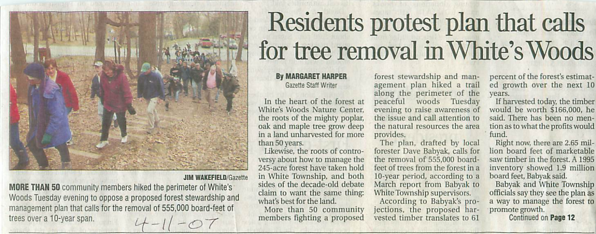

## **JIM WAKEFIELD/Gazette**

MORE THAN 50 community members hiked the perimeter of White's Woods Tuesday evening to oppose a proposed forest stewardship and management plan that calls for the removal of 555,000 board-feet of trees over a 10-year span.

## Residents protest plan that calls for tree removal in White's Woods

## Gazette Staff Write;

In the heart of the forest at White's Woods Nature Center, the roots of the mighty poplar, oak and maple tree grow deep in a land unharvested for more than 50 years.

Likewise, the roots of contro versy about how to manage the 245-acrc forest have taken hold in White Township, and both sides of the decade-old debate claim to want the same thing: what's best for the land.

More than 50 community members Fighting a proposed

forest stewardship and man agement plan hiked a trail along the perimeter of the peaceful woods Tuesday evening to raise awareness of the issue and cali attention to the natural resources the area provides.

The plan, drafted by local forester Dave Babyak, calls for the removal of 555,000 board feet of trees from the forest in a 10-year period, according to a March report from Babyak to White Township supervisors.

According to Babyak's pro jections, the proposed har vested timber translates to 61

percent of the forest's estimat ed growth over the next 10 years.

If harvested today, the timber would be worth \$166,000, he said. There has been no men tion as to what the profits would fund.

Right now, there are 2.65 million board feet of marketable saw timber in the forest. A 1995 inventory showed 1.9 million board feet. Babyak said.

Babyak and White Township officials say they see the plan as a way to manage the forest to promote growth.

Continued on Page 12